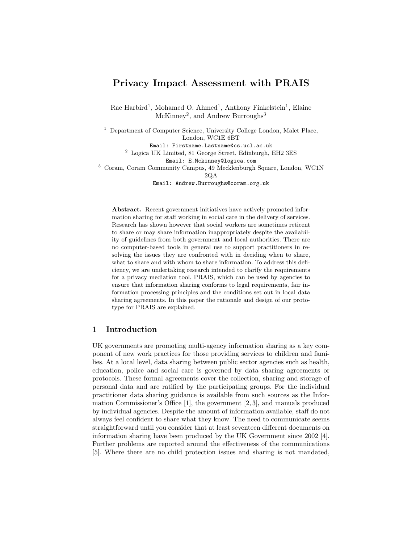# Privacy Impact Assessment with PRAIS

Rae Harbird<sup>1</sup>, Mohamed O. Ahmed<sup>1</sup>, Anthony Finkelstein<sup>1</sup>, Elaine  $McKinney<sup>2</sup>$ , and Andrew Burroughs<sup>3</sup>

<sup>1</sup> Department of Computer Science, University College London, Malet Place, London, WC1E 6BT Email: Firstname.Lastname@cs.ucl.ac.uk  $^{\rm 2}$  Logica UK Limited, 81 George Street, Edinburgh, EH2 3ES Email: E.Mckinney@logica.com <sup>3</sup> Coram, Coram Community Campus, 49 Mecklenburgh Square, London, WC1N

2QA

Email: Andrew.Burroughs@coram.org.uk

Abstract. Recent government initiatives have actively promoted information sharing for staff working in social care in the delivery of services. Research has shown however that social workers are sometimes reticent to share or may share information inappropriately despite the availability of guidelines from both government and local authorities. There are no computer-based tools in general use to support practitioners in resolving the issues they are confronted with in deciding when to share, what to share and with whom to share information. To address this deficiency, we are undertaking research intended to clarify the requirements for a privacy mediation tool, PRAIS, which can be used by agencies to ensure that information sharing conforms to legal requirements, fair information processing principles and the conditions set out in local data sharing agreements. In this paper the rationale and design of our prototype for PRAIS are explained.

# 1 Introduction

UK governments are promoting multi-agency information sharing as a key component of new work practices for those providing services to children and families. At a local level, data sharing between public sector agencies such as health, education, police and social care is governed by data sharing agreements or protocols. These formal agreements cover the collection, sharing and storage of personal data and are ratified by the participating groups. For the individual practitioner data sharing guidance is available from such sources as the Information Commissioner's Office [1], the government [2, 3], and manuals produced by individual agencies. Despite the amount of information available, staff do not always feel confident to share what they know. The need to communicate seems straightforward until you consider that at least seventeen different documents on information sharing have been produced by the UK Government since 2002 [4]. Further problems are reported around the effectiveness of the communications [5]. Where there are no child protection issues and sharing is not mandated,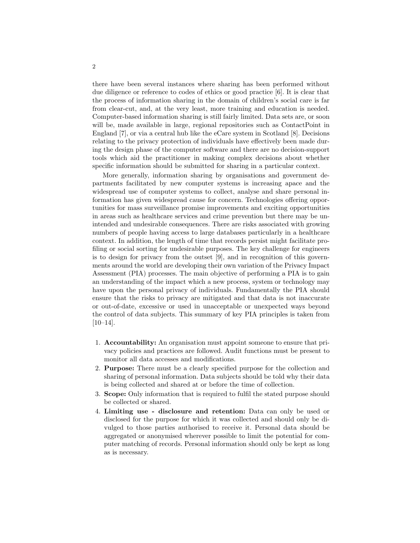there have been several instances where sharing has been performed without due diligence or reference to codes of ethics or good practice [6]. It is clear that the process of information sharing in the domain of children's social care is far from clear-cut, and, at the very least, more training and education is needed. Computer-based information sharing is still fairly limited. Data sets are, or soon will be, made available in large, regional repositories such as ContactPoint in England [7], or via a central hub like the eCare system in Scotland [8]. Decisions relating to the privacy protection of individuals have effectively been made during the design phase of the computer software and there are no decision-support tools which aid the practitioner in making complex decisions about whether specific information should be submitted for sharing in a particular context.

More generally, information sharing by organisations and government departments facilitated by new computer systems is increasing apace and the widespread use of computer systems to collect, analyse and share personal information has given widespread cause for concern. Technologies offering opportunities for mass surveillance promise improvements and exciting opportunities in areas such as healthcare services and crime prevention but there may be unintended and undesirable consequences. There are risks associated with growing numbers of people having access to large databases particularly in a healthcare context. In addition, the length of time that records persist might facilitate profiling or social sorting for undesirable purposes. The key challenge for engineers is to design for privacy from the outset [9], and in recognition of this governments around the world are developing their own variation of the Privacy Impact Assessment (PIA) processes. The main objective of performing a PIA is to gain an understanding of the impact which a new process, system or technology may have upon the personal privacy of individuals. Fundamentally the PIA should ensure that the risks to privacy are mitigated and that data is not inaccurate or out-of-date, excessive or used in unacceptable or unexpected ways beyond the control of data subjects. This summary of key PIA principles is taken from [10–14].

- 1. Accountability: An organisation must appoint someone to ensure that privacy policies and practices are followed. Audit functions must be present to monitor all data accesses and modifications.
- 2. Purpose: There must be a clearly specified purpose for the collection and sharing of personal information. Data subjects should be told why their data is being collected and shared at or before the time of collection.
- 3. Scope: Only information that is required to fulfil the stated purpose should be collected or shared.
- 4. Limiting use disclosure and retention: Data can only be used or disclosed for the purpose for which it was collected and should only be divulged to those parties authorised to receive it. Personal data should be aggregated or anonymised wherever possible to limit the potential for computer matching of records. Personal information should only be kept as long as is necessary.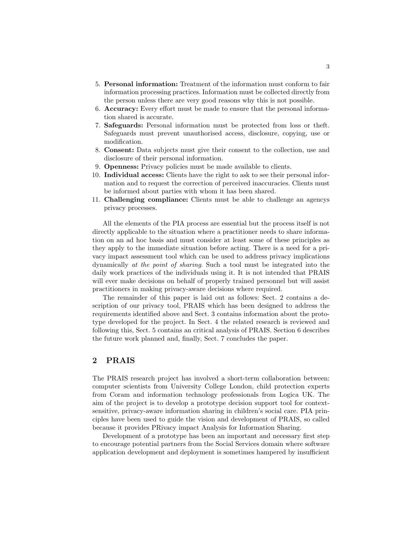- 5. Personal information: Treatment of the information must conform to fair information processing practices. Information must be collected directly from the person unless there are very good reasons why this is not possible.
- 6. Accuracy: Every effort must be made to ensure that the personal information shared is accurate.
- 7. Safeguards: Personal information must be protected from loss or theft. Safeguards must prevent unauthorised access, disclosure, copying, use or modification.
- 8. Consent: Data subjects must give their consent to the collection, use and disclosure of their personal information.
- 9. Openness: Privacy policies must be made available to clients.
- 10. Individual access: Clients have the right to ask to see their personal information and to request the correction of perceived inaccuracies. Clients must be informed about parties with whom it has been shared.
- 11. Challenging compliance: Clients must be able to challenge an agencys privacy processes.

All the elements of the PIA process are essential but the process itself is not directly applicable to the situation where a practitioner needs to share information on an ad hoc basis and must consider at least some of these principles as they apply to the immediate situation before acting. There is a need for a privacy impact assessment tool which can be used to address privacy implications dynamically *at the point of sharing*. Such a tool must be integrated into the daily work practices of the individuals using it. It is not intended that PRAIS will ever make decisions on behalf of properly trained personnel but will assist practitioners in making privacy-aware decisions where required.

The remainder of this paper is laid out as follows: Sect. 2 contains a description of our privacy tool, PRAIS which has been designed to address the requirements identified above and Sect. 3 contains information about the prototype developed for the project. In Sect. 4 the related research is reviewed and following this, Sect. 5 contains an critical analysis of PRAIS. Section 6 describes the future work planned and, finally, Sect. 7 concludes the paper.

### 2 PRAIS

The PRAIS research project has involved a short-term collaboration between: computer scientists from University College London, child protection experts from Coram and information technology professionals from Logica UK. The aim of the project is to develop a prototype decision support tool for contextsensitive, privacy-aware information sharing in children's social care. PIA principles have been used to guide the vision and development of PRAIS, so called because it provides PRivacy impact Analysis for Information Sharing.

Development of a prototype has been an important and necessary first step to encourage potential partners from the Social Services domain where software application development and deployment is sometimes hampered by insufficient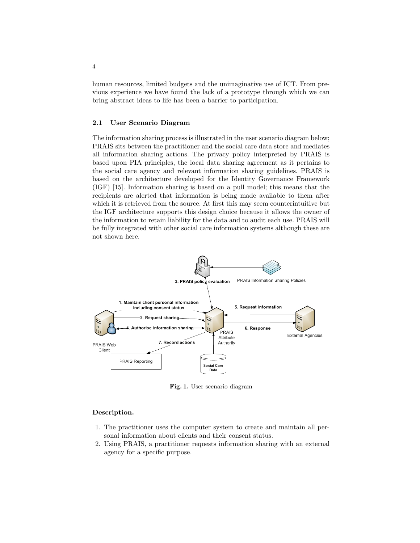human resources, limited budgets and the unimaginative use of ICT. From previous experience we have found the lack of a prototype through which we can bring abstract ideas to life has been a barrier to participation.

#### 2.1 User Scenario Diagram

The information sharing process is illustrated in the user scenario diagram below; PRAIS sits between the practitioner and the social care data store and mediates all information sharing actions. The privacy policy interpreted by PRAIS is based upon PIA principles, the local data sharing agreement as it pertains to the social care agency and relevant information sharing guidelines. PRAIS is based on the architecture developed for the Identity Governance Framework (IGF) [15]. Information sharing is based on a pull model; this means that the recipients are alerted that information is being made available to them after which it is retrieved from the source. At first this may seem counterintuitive but the IGF architecture supports this design choice because it allows the owner of the information to retain liability for the data and to audit each use. PRAIS will be fully integrated with other social care information systems although these are not shown here.



Fig. 1. User scenario diagram

#### Description.

- 1. The practitioner uses the computer system to create and maintain all personal information about clients and their consent status.
- 2. Using PRAIS, a practitioner requests information sharing with an external agency for a specific purpose.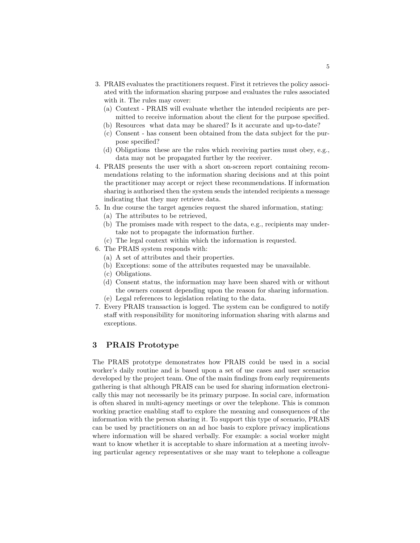- 3. PRAIS evaluates the practitioners request. First it retrieves the policy associated with the information sharing purpose and evaluates the rules associated with it. The rules may cover:
	- (a) Context PRAIS will evaluate whether the intended recipients are permitted to receive information about the client for the purpose specified.
	- (b) Resources what data may be shared? Is it accurate and up-to-date?
	- (c) Consent has consent been obtained from the data subject for the purpose specified?
	- (d) Obligations these are the rules which receiving parties must obey, e.g., data may not be propagated further by the receiver.
- 4. PRAIS presents the user with a short on-screen report containing recommendations relating to the information sharing decisions and at this point the practitioner may accept or reject these recommendations. If information sharing is authorised then the system sends the intended recipients a message indicating that they may retrieve data.
- 5. In due course the target agencies request the shared information, stating:
	- (a) The attributes to be retrieved,
	- (b) The promises made with respect to the data, e.g., recipients may undertake not to propagate the information further.
	- (c) The legal context within which the information is requested.
- 6. The PRAIS system responds with:
	- (a) A set of attributes and their properties.
	- (b) Exceptions: some of the attributes requested may be unavailable.
	- (c) Obligations.
	- (d) Consent status, the information may have been shared with or without the owners consent depending upon the reason for sharing information. (e) Legal references to legislation relating to the data.
	-
- 7. Every PRAIS transaction is logged. The system can be configured to notify staff with responsibility for monitoring information sharing with alarms and exceptions.

# 3 PRAIS Prototype

The PRAIS prototype demonstrates how PRAIS could be used in a social worker's daily routine and is based upon a set of use cases and user scenarios developed by the project team. One of the main findings from early requirements gathering is that although PRAIS can be used for sharing information electronically this may not necessarily be its primary purpose. In social care, information is often shared in multi-agency meetings or over the telephone. This is common working practice enabling staff to explore the meaning and consequences of the information with the person sharing it. To support this type of scenario, PRAIS can be used by practitioners on an ad hoc basis to explore privacy implications where information will be shared verbally. For example: a social worker might want to know whether it is acceptable to share information at a meeting involving particular agency representatives or she may want to telephone a colleague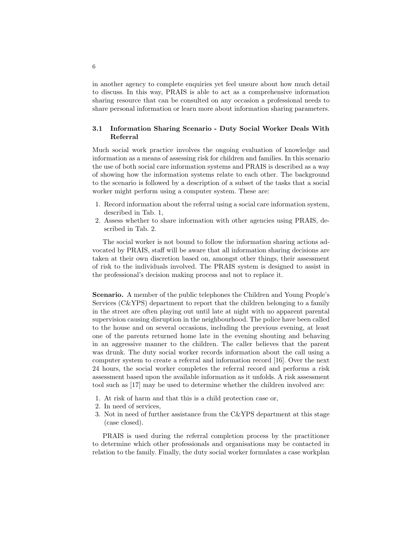in another agency to complete enquiries yet feel unsure about how much detail to discuss. In this way, PRAIS is able to act as a comprehensive information sharing resource that can be consulted on any occasion a professional needs to share personal information or learn more about information sharing parameters.

#### 3.1 Information Sharing Scenario - Duty Social Worker Deals With Referral

Much social work practice involves the ongoing evaluation of knowledge and information as a means of assessing risk for children and families. In this scenario the use of both social care information systems and PRAIS is described as a way of showing how the information systems relate to each other. The background to the scenario is followed by a description of a subset of the tasks that a social worker might perform using a computer system. These are:

- 1. Record information about the referral using a social care information system, described in Tab. 1,
- 2. Assess whether to share information with other agencies using PRAIS, described in Tab. 2.

The social worker is not bound to follow the information sharing actions advocated by PRAIS, staff will be aware that all information sharing decisions are taken at their own discretion based on, amongst other things, their assessment of risk to the individuals involved. The PRAIS system is designed to assist in the professional's decision making process and not to replace it.

Scenario. A member of the public telephones the Children and Young People's Services (C&YPS) department to report that the children belonging to a family in the street are often playing out until late at night with no apparent parental supervision causing disruption in the neighbourhood. The police have been called to the house and on several occasions, including the previous evening, at least one of the parents returned home late in the evening shouting and behaving in an aggressive manner to the children. The caller believes that the parent was drunk. The duty social worker records information about the call using a computer system to create a referral and information record [16]. Over the next 24 hours, the social worker completes the referral record and performs a risk assessment based upon the available information as it unfolds. A risk assessment tool such as [17] may be used to determine whether the children involved are:

- 1. At risk of harm and that this is a child protection case or,
- 2. In need of services,
- 3. Not in need of further assistance from the C&YPS department at this stage (case closed).

PRAIS is used during the referral completion process by the practitioner to determine which other professionals and organisations may be contacted in relation to the family. Finally, the duty social worker formulates a case workplan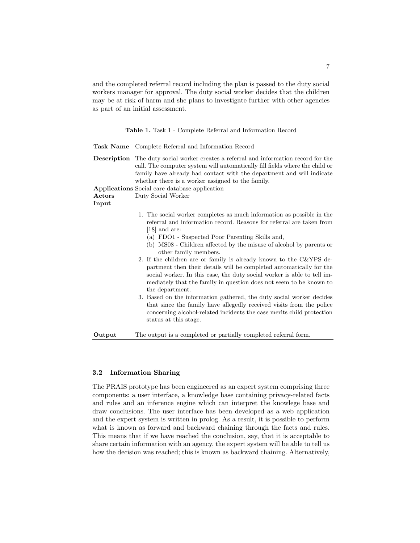and the completed referral record including the plan is passed to the duty social workers manager for approval. The duty social worker decides that the children may be at risk of harm and she plans to investigate further with other agencies as part of an initial assessment.

Table 1. Task 1 - Complete Referral and Information Record

| Task Name | Complete Referral and Information Record                                                                                                                                                                                                                                                                                                                                                                                                                                                                                                                                                                                                                                                                                                                                                                                                                                                  |
|-----------|-------------------------------------------------------------------------------------------------------------------------------------------------------------------------------------------------------------------------------------------------------------------------------------------------------------------------------------------------------------------------------------------------------------------------------------------------------------------------------------------------------------------------------------------------------------------------------------------------------------------------------------------------------------------------------------------------------------------------------------------------------------------------------------------------------------------------------------------------------------------------------------------|
|           | <b>Description</b> The duty social worker creates a referral and information record for the<br>call. The computer system will automatically fill fields where the child or<br>family have already had contact with the department and will indicate<br>whether there is a worker assigned to the family.                                                                                                                                                                                                                                                                                                                                                                                                                                                                                                                                                                                  |
|           | <b>Applications</b> Social care database application                                                                                                                                                                                                                                                                                                                                                                                                                                                                                                                                                                                                                                                                                                                                                                                                                                      |
| Actors    | Duty Social Worker                                                                                                                                                                                                                                                                                                                                                                                                                                                                                                                                                                                                                                                                                                                                                                                                                                                                        |
| Input     |                                                                                                                                                                                                                                                                                                                                                                                                                                                                                                                                                                                                                                                                                                                                                                                                                                                                                           |
|           | 1. The social worker completes as much information as possible in the<br>referral and information record. Reasons for referral are taken from<br>$[18]$ and are:<br>(a) FDO1 - Suspected Poor Parenting Skills and,<br>(b) MS08 - Children affected by the misuse of alcohol by parents or<br>other family members.<br>2. If the children are or family is already known to the $C\&YPS$ de-<br>partment then their details will be completed automatically for the<br>social worker. In this case, the duty social worker is able to tell im-<br>mediately that the family in question does not seem to be known to<br>the department.<br>3. Based on the information gathered, the duty social worker decides<br>that since the family have allegedly received visits from the police<br>concerning alcohol-related incidents the case merits child protection<br>status at this stage. |
| Output    | The output is a completed or partially completed referral form.                                                                                                                                                                                                                                                                                                                                                                                                                                                                                                                                                                                                                                                                                                                                                                                                                           |

#### 3.2 Information Sharing

The PRAIS prototype has been engineered as an expert system comprising three components: a user interface, a knowledge base containing privacy-related facts and rules and an inference engine which can interpret the knowlege base and draw conclusions. The user interface has been developed as a web application and the expert system is written in prolog. As a result, it is possible to perform what is known as forward and backward chaining through the facts and rules. This means that if we have reached the conclusion, say, that it is acceptable to share certain information with an agency, the expert system will be able to tell us how the decision was reached; this is known as backward chaining. Alternatively,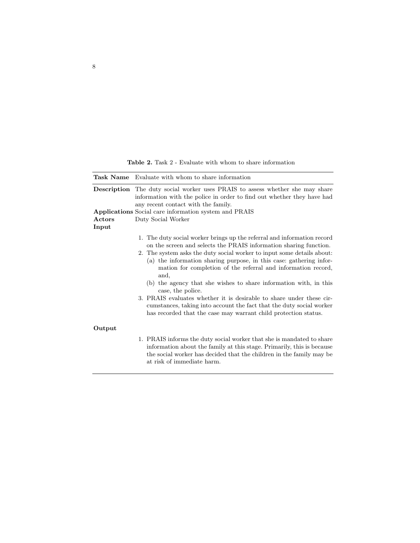Table 2. Task 2 - Evaluate with whom to share information

|                 | <b>Task Name</b> Evaluate with whom to share information                                                                                                                                                                                                                                                                                                                                                                                                                                                                                                                                                                                                                            |
|-----------------|-------------------------------------------------------------------------------------------------------------------------------------------------------------------------------------------------------------------------------------------------------------------------------------------------------------------------------------------------------------------------------------------------------------------------------------------------------------------------------------------------------------------------------------------------------------------------------------------------------------------------------------------------------------------------------------|
|                 | <b>Description</b> The duty social worker uses PRAIS to assess whether she may share<br>information with the police in order to find out whether they have had<br>any recent contact with the family.                                                                                                                                                                                                                                                                                                                                                                                                                                                                               |
|                 | <b>Applications</b> Social care information system and PRAIS                                                                                                                                                                                                                                                                                                                                                                                                                                                                                                                                                                                                                        |
| Actors<br>Input | Duty Social Worker                                                                                                                                                                                                                                                                                                                                                                                                                                                                                                                                                                                                                                                                  |
|                 | 1. The duty social worker brings up the referral and information record<br>on the screen and selects the PRAIS information sharing function.<br>2. The system asks the duty social worker to input some details about:<br>(a) the information sharing purpose, in this case: gathering infor-<br>mation for completion of the referral and information record,<br>and,<br>(b) the agency that she wishes to share information with, in this<br>case, the police.<br>3. PRAIS evaluates whether it is desirable to share under these cir-<br>cumstances, taking into account the fact that the duty social worker<br>has recorded that the case may warrant child protection status. |
| Output          |                                                                                                                                                                                                                                                                                                                                                                                                                                                                                                                                                                                                                                                                                     |
|                 | 1. PRAIS informs the duty social worker that she is mandated to share<br>information about the family at this stage. Primarily, this is because<br>the social worker has decided that the children in the family may be<br>at risk of immediate harm.                                                                                                                                                                                                                                                                                                                                                                                                                               |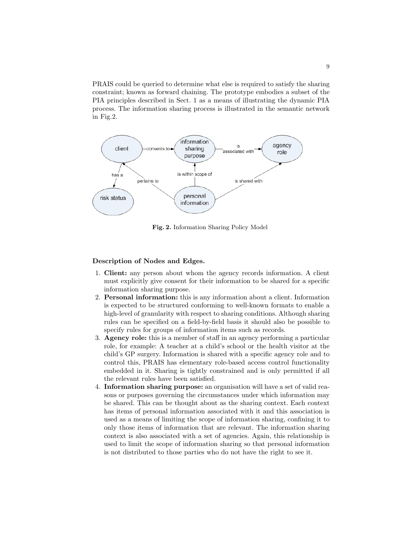PRAIS could be queried to determine what else is required to satisfy the sharing constraint; known as forward chaining. The prototype embodies a subset of the PIA principles described in Sect. 1 as a means of illustrating the dynamic PIA process. The information sharing process is illustrated in the semantic network in Fig.2.



Fig. 2. Information Sharing Policy Model

#### Description of Nodes and Edges.

- 1. Client: any person about whom the agency records information. A client must explicitly give consent for their information to be shared for a specific information sharing purpose.
- 2. Personal information: this is any information about a client. Information is expected to be structured conforming to well-known formats to enable a high-level of granularity with respect to sharing conditions. Although sharing rules can be specified on a field-by-field basis it should also be possible to specify rules for groups of information items such as records.
- 3. Agency role: this is a member of staff in an agency performing a particular role, for example: A teacher at a child's school or the health visitor at the child's GP surgery. Information is shared with a specific agency role and to control this, PRAIS has elementary role-based access control functionality embedded in it. Sharing is tightly constrained and is only permitted if all the relevant rules have been satisfied.
- 4. Information sharing purpose: an organisation will have a set of valid reasons or purposes governing the circumstances under which information may be shared. This can be thought about as the sharing context. Each context has items of personal information associated with it and this association is used as a means of limiting the scope of information sharing, confining it to only those items of information that are relevant. The information sharing context is also associated with a set of agencies. Again, this relationship is used to limit the scope of information sharing so that personal information is not distributed to those parties who do not have the right to see it.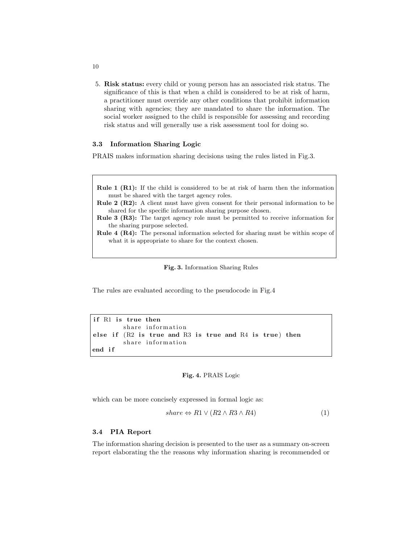5. Risk status: every child or young person has an associated risk status. The significance of this is that when a child is considered to be at risk of harm, a practitioner must override any other conditions that prohibit information sharing with agencies; they are mandated to share the information. The social worker assigned to the child is responsible for assessing and recording risk status and will generally use a risk assessment tool for doing so.

#### 3.3 Information Sharing Logic

PRAIS makes information sharing decisions using the rules listed in Fig.3.

```
Rule 1 (R1): If the child is considered to be at risk of harm then the information
     must be shared with the target agency roles.
 Rule 2 (R2): A client must have given consent for their personal information to be
     shared for the specific information sharing purpose chosen.
 Rule 3 (R3): The target agency role must be permitted to receive information for
     the sharing purpose selected.
 Rule 4 (R4): The personal information selected for sharing must be within scope of
     what it is appropriate to share for the context chosen.
                         Fig. 3. Information Sharing Rules
The rules are evaluated according to the pseudocode in Fig.4
```

```
if R1 is true then
        share information
else if (R2 is true and R3 is true and R4 is true) then
        share information
end if
```
Fig. 4. PRAIS Logic

which can be more concisely expressed in formal logic as:

$$
share \Leftrightarrow R1 \lor (R2 \land R3 \land R4) \tag{1}
$$

#### 3.4 PIA Report

The information sharing decision is presented to the user as a summary on-screen report elaborating the the reasons why information sharing is recommended or

10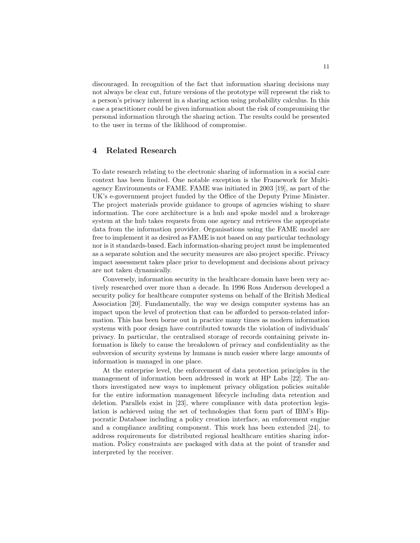discouraged. In recognition of the fact that information sharing decisions may not always be clear cut, future versions of the prototype will represent the risk to a person's privacy inherent in a sharing action using probability calculus. In this case a practitioner could be given information about the risk of compromising the personal information through the sharing action. The results could be presented to the user in terms of the liklihood of compromise.

# 4 Related Research

To date research relating to the electronic sharing of information in a social care context has been limited. One notable exception is the Framework for Multiagency Environments or FAME. FAME was initiated in 2003 [19], as part of the UK's e-government project funded by the Office of the Deputy Prime Minister. The project materials provide guidance to groups of agencies wishing to share information. The core architecture is a hub and spoke model and a brokerage system at the hub takes requests from one agency and retrieves the appropriate data from the information provider. Organisations using the FAME model are free to implement it as desired as FAME is not based on any particular technology nor is it standards-based. Each information-sharing project must be implemented as a separate solution and the security measures are also project specific. Privacy impact assessment takes place prior to development and decisions about privacy are not taken dynamically.

Conversely, information security in the healthcare domain have been very actively researched over more than a decade. In 1996 Ross Anderson developed a security policy for healthcare computer systems on behalf of the British Medical Association [20]. Fundamentally, the way we design computer systems has an impact upon the level of protection that can be afforded to person-related information. This has been borne out in practice many times as modern information systems with poor design have contributed towards the violation of individuals' privacy. In particular, the centralised storage of records containing private information is likely to cause the breakdown of privacy and confidentiality as the subversion of security systems by humans is much easier where large amounts of information is managed in one place.

At the enterprise level, the enforcement of data protection principles in the management of information been addressed in work at HP Labs [22]. The authors investigated new ways to implement privacy obligation policies suitable for the entire information management lifecycle including data retention and deletion. Parallels exist in [23], where compliance with data protection legislation is achieved using the set of technologies that form part of IBM's Hippocratic Database including a policy creation interface, an enforcement engine and a compliance auditing component. This work has been extended [24], to address requirements for distributed regional healthcare entities sharing information. Policy constraints are packaged with data at the point of transfer and interpreted by the receiver.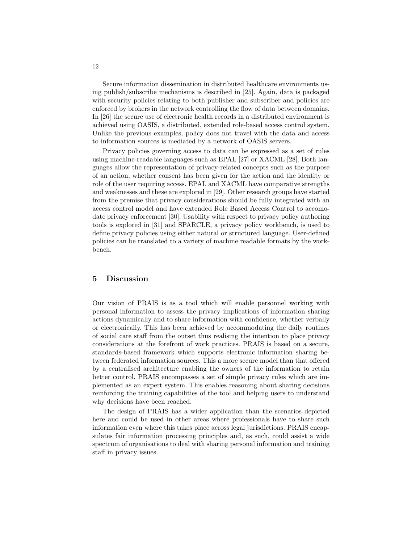Secure information dissemination in distributed healthcare environments using publish/subscribe mechanisms is described in [25]. Again, data is packaged with security policies relating to both publisher and subscriber and policies are enforced by brokers in the network controlling the flow of data between domains. In [26] the secure use of electronic health records in a distributed environment is achieved using OASIS, a distributed, extended role-based access control system. Unlike the previous examples, policy does not travel with the data and access to information sources is mediated by a network of OASIS servers.

Privacy policies governing access to data can be expressed as a set of rules using machine-readable languages such as EPAL [27] or XACML [28]. Both languages allow the representation of privacy-related concepts such as the purpose of an action, whether consent has been given for the action and the identity or role of the user requiring access. EPAL and XACML have comparative strengths and weaknesses and these are explored in [29]. Other research groups have started from the premise that privacy considerations should be fully integrated with an access control model and have extended Role Based Access Control to accomodate privacy enforcement [30]. Usability with respect to privacy policy authoring tools is explored in [31] and SPARCLE, a privacy policy workbench, is used to define privacy policies using either natural or structured language. User-defined policies can be translated to a variety of machine readable formats by the workbench.

### 5 Discussion

Our vision of PRAIS is as a tool which will enable personnel working with personal information to assess the privacy implications of information sharing actions dynamically and to share information with confidence, whether verbally or electronically. This has been achieved by accommodating the daily routines of social care staff from the outset thus realising the intention to place privacy considerations at the forefront of work practices. PRAIS is based on a secure, standards-based framework which supports electronic information sharing between federated information sources. This a more secure model than that offered by a centralised architecture enabling the owners of the information to retain better control. PRAIS encompasses a set of simple privacy rules which are implemented as an expert system. This enables reasoning about sharing decisions reinforcing the training capabilities of the tool and helping users to understand why decisions have been reached.

The design of PRAIS has a wider application than the scenarios depicted here and could be used in other areas where professionals have to share such information even where this takes place across legal jurisdictions. PRAIS encapsulates fair information processing principles and, as such, could assist a wide spectrum of organisations to deal with sharing personal information and training staff in privacy issues.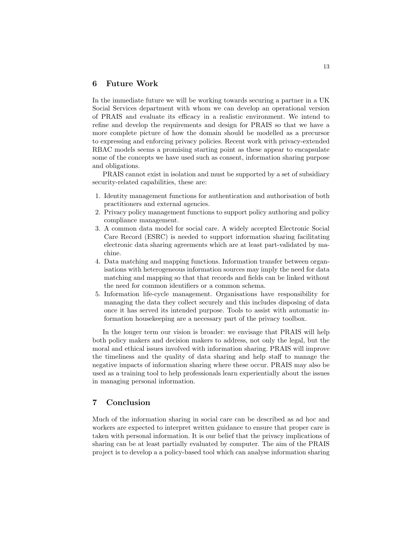# 6 Future Work

In the immediate future we will be working towards securing a partner in a UK Social Services department with whom we can develop an operational version of PRAIS and evaluate its efficacy in a realistic environment. We intend to refine and develop the requirements and design for PRAIS so that we have a more complete picture of how the domain should be modelled as a precursor to expressing and enforcing privacy policies. Recent work with privacy-extended RBAC models seems a promising starting point as these appear to encapsulate some of the concepts we have used such as consent, information sharing purpose and obligations.

PRAIS cannot exist in isolation and must be supported by a set of subsidiary security-related capabilities, these are:

- 1. Identity management functions for authentication and authorisation of both practitioners and external agencies.
- 2. Privacy policy management functions to support policy authoring and policy compliance management.
- 3. A common data model for social care. A widely accepted Electronic Social Care Record (ESRC) is needed to support information sharing facilitating electronic data sharing agreements which are at least part-validated by machine.
- 4. Data matching and mapping functions. Information transfer between organisations with heterogeneous information sources may imply the need for data matching and mapping so that that records and fields can be linked without the need for common identifiers or a common schema.
- 5. Information life-cycle management. Organisations have responsibility for managing the data they collect securely and this includes disposing of data once it has served its intended purpose. Tools to assist with automatic information housekeeping are a necessary part of the privacy toolbox.

In the longer term our vision is broader: we envisage that PRAIS will help both policy makers and decision makers to address, not only the legal, but the moral and ethical issues involved with information sharing. PRAIS will improve the timeliness and the quality of data sharing and help staff to manage the negative impacts of information sharing where these occur. PRAIS may also be used as a training tool to help professionals learn experientially about the issues in managing personal information.

### 7 Conclusion

Much of the information sharing in social care can be described as ad hoc and workers are expected to interpret written guidance to ensure that proper care is taken with personal information. It is our belief that the privacy implications of sharing can be at least partially evaluated by computer. The aim of the PRAIS project is to develop a a policy-based tool which can analyse information sharing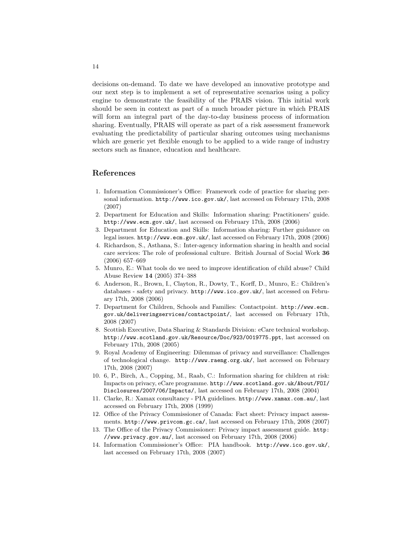decisions on-demand. To date we have developed an innovative prototype and our next step is to implement a set of representative scenarios using a policy engine to demonstrate the feasibility of the PRAIS vision. This initial work should be seen in context as part of a much broader picture in which PRAIS will form an integral part of the day-to-day business process of information sharing. Eventually, PRAIS will operate as part of a risk assessment framework evaluating the predictability of particular sharing outcomes using mechanisms which are generic yet flexible enough to be applied to a wide range of industry sectors such as finance, education and healthcare.

# References

- 1. Information Commissioner's Office: Framework code of practice for sharing personal information. http://www.ico.gov.uk/, last accessed on February 17th, 2008 (2007)
- 2. Department for Education and Skills: Information sharing: Practitioners' guide. http://www.ecm.gov.uk/, last accessed on February 17th, 2008 (2006)
- 3. Department for Education and Skills: Information sharing: Further guidance on legal issues. http://www.ecm.gov.uk/, last accessed on February 17th, 2008 (2006)
- 4. Richardson, S., Asthana, S.: Inter-agency information sharing in health and social care services: The role of professional culture. British Journal of Social Work 36 (2006) 657–669
- 5. Munro, E.: What tools do we need to improve identification of child abuse? Child Abuse Review 14 (2005) 374–388
- 6. Anderson, R., Brown, I., Clayton, R., Dowty, T., Korff, D., Munro, E.: Children's databases - safety and privacy. http://www.ico.gov.uk/, last accessed on February 17th, 2008 (2006)
- 7. Department for Children, Schools and Families: Contactpoint. http://www.ecm. gov.uk/deliveringservices/contactpoint/, last accessed on February 17th, 2008 (2007)
- 8. Scottish Executive, Data Sharing & Standards Division: eCare technical workshop. http://www.scotland.gov.uk/Resource/Doc/923/0019775.ppt, last accessed on February 17th, 2008 (2005)
- 9. Royal Academy of Engineering: Dilemmas of privacy and surveillance: Challenges of technological change. http://www.raeng.org.uk/, last accessed on February 17th, 2008 (2007)
- 10. 6, P., Birch, A., Copping, M., Raab, C.: Information sharing for children at risk: Impacts on privacy, eCare programme. http://www.scotland.gov.uk/About/FOI/ Disclosures/2007/06/Impacts/, last accessed on February 17th, 2008 (2004)
- 11. Clarke, R.: Xamax consultancy PIA guidelines. http://www.xamax.com.au/, last accessed on February 17th, 2008 (1999)
- 12. Office of the Privacy Commissioner of Canada: Fact sheet: Privacy impact assessments. http://www.privcom.gc.ca/, last accessed on February 17th, 2008 (2007)
- 13. The Office of the Privacy Commissioner: Privacy impact assessment guide. http: //www.privacy.gov.au/, last accessed on February 17th, 2008 (2006)
- 14. Information Commissioner's Office: PIA handbook. http://www.ico.gov.uk/, last accessed on February 17th, 2008 (2007)